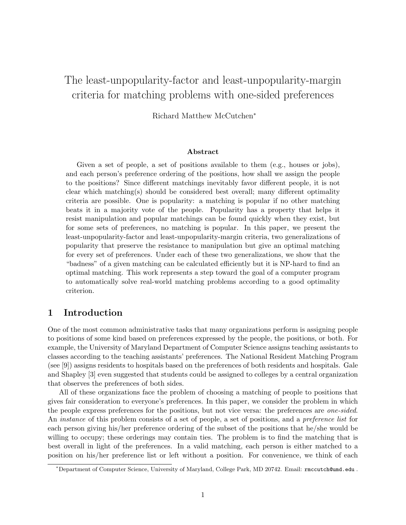# The least-unpopularity-factor and least-unpopularity-margin criteria for matching problems with one-sided preferences

Richard Matthew McCutchen<sup>∗</sup>

#### Abstract

Given a set of people, a set of positions available to them (e.g., houses or jobs), and each person's preference ordering of the positions, how shall we assign the people to the positions? Since different matchings inevitably favor different people, it is not clear which matching(s) should be considered best overall; many different optimality criteria are possible. One is popularity: a matching is popular if no other matching beats it in a majority vote of the people. Popularity has a property that helps it resist manipulation and popular matchings can be found quickly when they exist, but for some sets of preferences, no matching is popular. In this paper, we present the least-unpopularity-factor and least-unpopularity-margin criteria, two generalizations of popularity that preserve the resistance to manipulation but give an optimal matching for every set of preferences. Under each of these two generalizations, we show that the "badness" of a given matching can be calculated efficiently but it is NP-hard to find an optimal matching. This work represents a step toward the goal of a computer program to automatically solve real-world matching problems according to a good optimality criterion.

# 1 Introduction

One of the most common administrative tasks that many organizations perform is assigning people to positions of some kind based on preferences expressed by the people, the positions, or both. For example, the University of Maryland Department of Computer Science assigns teaching assistants to classes according to the teaching assistants' preferences. The National Resident Matching Program (see [9]) assigns residents to hospitals based on the preferences of both residents and hospitals. Gale and Shapley [3] even suggested that students could be assigned to colleges by a central organization that observes the preferences of both sides.

All of these organizations face the problem of choosing a matching of people to positions that gives fair consideration to everyone's preferences. In this paper, we consider the problem in which the people express preferences for the positions, but not vice versa: the preferences are one-sided. An instance of this problem consists of a set of people, a set of positions, and a preference list for each person giving his/her preference ordering of the subset of the positions that he/she would be willing to occupy; these orderings may contain ties. The problem is to find the matching that is best overall in light of the preferences. In a valid matching, each person is either matched to a position on his/her preference list or left without a position. For convenience, we think of each

<sup>∗</sup>Department of Computer Science, University of Maryland, College Park, MD 20742. Email: rmccutch@umd.edu .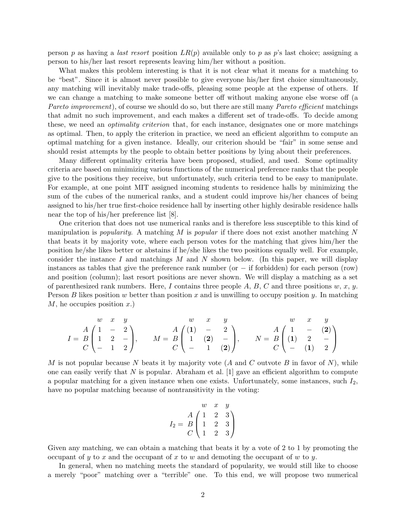person p as having a *last resort* position  $LR(p)$  available only to p as p's last choice; assigning a person to his/her last resort represents leaving him/her without a position.

What makes this problem interesting is that it is not clear what it means for a matching to be "best". Since it is almost never possible to give everyone his/her first choice simultaneously, any matching will inevitably make trade-offs, pleasing some people at the expense of others. If we can change a matching to make someone better off without making anyone else worse off (a Pareto improvement), of course we should do so, but there are still many Pareto efficient matchings that admit no such improvement, and each makes a different set of trade-offs. To decide among these, we need an *optimality criterion* that, for each instance, designates one or more matchings as optimal. Then, to apply the criterion in practice, we need an efficient algorithm to compute an optimal matching for a given instance. Ideally, our criterion should be "fair" in some sense and should resist attempts by the people to obtain better positions by lying about their preferences.

Many different optimality criteria have been proposed, studied, and used. Some optimality criteria are based on minimizing various functions of the numerical preference ranks that the people give to the positions they receive, but unfortunately, such criteria tend to be easy to manipulate. For example, at one point MIT assigned incoming students to residence halls by minimizing the sum of the cubes of the numerical ranks, and a student could improve his/her chances of being assigned to his/her true first-choice residence hall by inserting other highly desirable residence halls near the top of his/her preference list [8].

One criterion that does not use numerical ranks and is therefore less susceptible to this kind of manipulation is *popularity*. A matching  $M$  is *popular* if there does not exist another matching  $N$ that beats it by majority vote, where each person votes for the matching that gives him/her the position he/she likes better or abstains if he/she likes the two positions equally well. For example, consider the instance I and matchings  $M$  and  $N$  shown below. (In this paper, we will display instances as tables that give the preference rank number (or − if forbidden) for each person (row) and position (column); last resort positions are never shown. We will display a matching as a set of parenthesized rank numbers. Here, I contains three people A, B, C and three positions  $w, x, y$ . Person B likes position w better than position x and is unwilling to occupy position y. In matching  $M$ , he occupies position  $x$ .)

$$
I = \begin{pmatrix} w & x & y \\ A & 1 & - & 2 \\ C & - & 1 & 2 \end{pmatrix}, \qquad M = \begin{pmatrix} w & x & y \\ A & (1) & - & 2 \\ B & (1) & (2) & - \\ C & - & 1 & (2) \end{pmatrix}, \qquad N = \begin{pmatrix} w & x & y \\ A & 1 & - & (2) \\ C & - & (1) & 2 \end{pmatrix}
$$

M is not popular because N beats it by majority vote  $(A \text{ and } C \text{ outvote } B \text{ in favor of } N)$ , while one can easily verify that N is popular. Abraham et al.  $[1]$  gave an efficient algorithm to compute a popular matching for a given instance when one exists. Unfortunately, some instances, such  $I_2$ , have no popular matching because of nontransitivity in the voting:

$$
I_2 = \begin{array}{c c c c} & w & x & y \\ A & 1 & 2 & 3 \\ C & 1 & 2 & 3 \end{array}
$$

Given any matching, we can obtain a matching that beats it by a vote of 2 to 1 by promoting the occupant of y to x and the occupant of x to w and demoting the occupant of w to y.

In general, when no matching meets the standard of popularity, we would still like to choose a merely "poor" matching over a "terrible" one. To this end, we will propose two numerical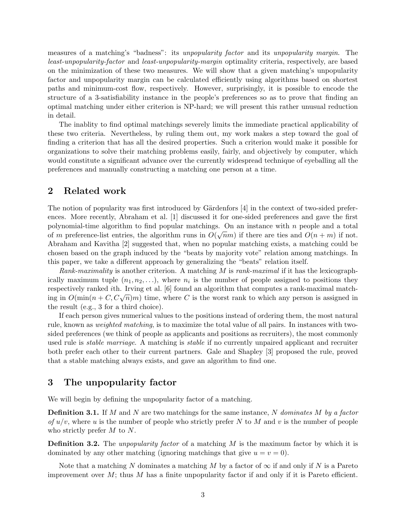measures of a matching's "badness": its unpopularity factor and its unpopularity margin. The least-unpopularity-factor and least-unpopularity-margin optimality criteria, respectively, are based on the minimization of these two measures. We will show that a given matching's unpopularity factor and unpopularity margin can be calculated efficiently using algorithms based on shortest paths and minimum-cost flow, respectively. However, surprisingly, it is possible to encode the structure of a 3-satisfiability instance in the people's preferences so as to prove that finding an optimal matching under either criterion is NP-hard; we will present this rather unusual reduction in detail.

The inablity to find optimal matchings severely limits the immediate practical applicability of these two criteria. Nevertheless, by ruling them out, my work makes a step toward the goal of finding a criterion that has all the desired properties. Such a criterion would make it possible for organizations to solve their matching problems easily, fairly, and objectively by computer, which would constitute a significant advance over the currently widespread technique of eyeballing all the preferences and manually constructing a matching one person at a time.

## 2 Related work

The notion of popularity was first introduced by Gärdenfors  $[4]$  in the context of two-sided preferences. More recently, Abraham et al. [1] discussed it for one-sided preferences and gave the first polynomial-time algorithm to find popular matchings. On an instance with n people and a total of m preference-list entries, the algorithm runs in  $O(\sqrt{n}m)$  if there are ties and  $O(n+m)$  if not. Abraham and Kavitha [2] suggested that, when no popular matching exists, a matching could be chosen based on the graph induced by the "beats by majority vote" relation among matchings. In this paper, we take a different approach by generalizing the "beats" relation itself.

Rank-maximality is another criterion. A matching M is rank-maximal if it has the lexicographically maximum tuple  $(n_1, n_2, \ldots)$ , where  $n_i$  is the number of people assigned to positions they respectively ranked ith. Irving et al. [6] found an algorithm that computes a rank-maximal matchis pectively rained it. If ying et al. [0] found an algorithm that computes a rain, inaximal match-<br>ing in  $O(\min(n + C, C\sqrt{n})m)$  time, where C is the worst rank to which any person is assigned in the result (e.g., 3 for a third choice).

If each person gives numerical values to the positions instead of ordering them, the most natural rule, known as weighted matching, is to maximize the total value of all pairs. In instances with twosided preferences (we think of people as applicants and positions as recruiters), the most commonly used rule is *stable marriage*. A matching is *stable* if no currently unpaired applicant and recruiter both prefer each other to their current partners. Gale and Shapley [3] proposed the rule, proved that a stable matching always exists, and gave an algorithm to find one.

## 3 The unpopularity factor

We will begin by defining the unpopularity factor of a matching.

**Definition 3.1.** If M and N are two matchings for the same instance, N dominates M by a factor of  $u/v$ , where u is the number of people who strictly prefer N to M and v is the number of people who strictly prefer M to N.

**Definition 3.2.** The unpopularity factor of a matching  $M$  is the maximum factor by which it is dominated by any other matching (ignoring matchings that give  $u = v = 0$ ).

Note that a matching N dominates a matching M by a factor of  $\infty$  if and only if N is a Pareto improvement over  $M$ ; thus  $M$  has a finite unpopularity factor if and only if it is Pareto efficient.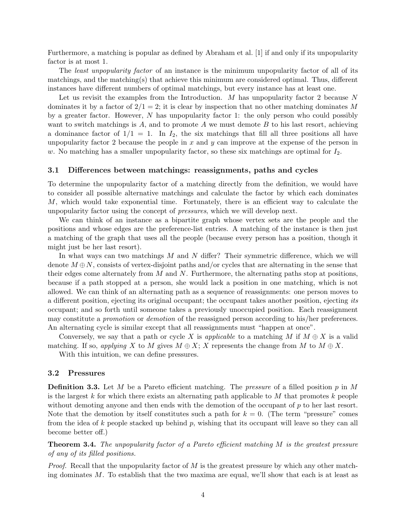Furthermore, a matching is popular as defined by Abraham et al. [1] if and only if its unpopularity factor is at most 1.

The *least unpopularity factor* of an instance is the minimum unpopularity factor of all of its matchings, and the matching(s) that achieve this minimum are considered optimal. Thus, different instances have different numbers of optimal matchings, but every instance has at least one.

Let us revisit the examples from the Introduction.  $M$  has unpopularity factor 2 because  $N$ dominates it by a factor of  $2/1 = 2$ ; it is clear by inspection that no other matching dominates M by a greater factor. However, N has unpopularity factor 1: the only person who could possibly want to switch matchings is  $A$ , and to promote  $A$  we must demote  $B$  to his last resort, achieving a dominance factor of  $1/1 = 1$ . In  $I_2$ , the six matchings that fill all three positions all have unpopularity factor 2 because the people in x and y can improve at the expense of the person in w. No matching has a smaller unpopularity factor, so these six matchings are optimal for  $I_2$ .

#### 3.1 Differences between matchings: reassignments, paths and cycles

To determine the unpopularity factor of a matching directly from the definition, we would have to consider all possible alternative matchings and calculate the factor by which each dominates M, which would take exponential time. Fortunately, there is an efficient way to calculate the unpopularity factor using the concept of pressures, which we will develop next.

We can think of an instance as a bipartite graph whose vertex sets are the people and the positions and whose edges are the preference-list entries. A matching of the instance is then just a matching of the graph that uses all the people (because every person has a position, though it might just be her last resort).

In what ways can two matchings  $M$  and  $N$  differ? Their symmetric difference, which we will denote  $M \oplus N$ , consists of vertex-disjoint paths and/or cycles that are alternating in the sense that their edges come alternately from  $M$  and  $N$ . Furthermore, the alternating paths stop at positions, because if a path stopped at a person, she would lack a position in one matching, which is not allowed. We can think of an alternating path as a sequence of reassignments: one person moves to a different position, ejecting its original occupant; the occupant takes another position, ejecting its occupant; and so forth until someone takes a previously unoccupied position. Each reassignment may constitute a promotion or demotion of the reassigned person according to his/her preferences. An alternating cycle is similar except that all reassignments must "happen at once".

Conversely, we say that a path or cycle X is applicable to a matching M if  $M \oplus X$  is a valid matching. If so, applying X to M gives  $M \oplus X$ ; X represents the change from M to  $M \oplus X$ .

With this intuition, we can define pressures.

## 3.2 Pressures

**Definition 3.3.** Let M be a Pareto efficient matching. The *pressure* of a filled position p in M is the largest k for which there exists an alternating path applicable to  $M$  that promotes k people without demoting anyone and then ends with the demotion of the occupant of p to her last resort. Note that the demotion by itself constitutes such a path for  $k = 0$ . (The term "pressure" comes from the idea of k people stacked up behind  $p$ , wishing that its occupant will leave so they can all become better off.)

**Theorem 3.4.** The unpopularity factor of a Pareto efficient matching  $M$  is the greatest pressure of any of its filled positions.

*Proof.* Recall that the unpopularity factor of  $M$  is the greatest pressure by which any other matching dominates  $M$ . To establish that the two maxima are equal, we'll show that each is at least as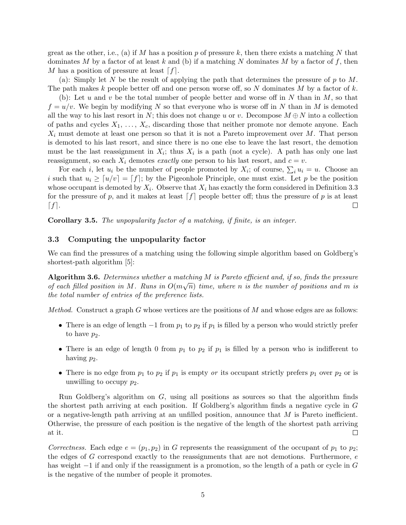great as the other, i.e., (a) if M has a position p of pressure k, then there exists a matching N that dominates M by a factor of at least k and (b) if a matching N dominates M by a factor of f, then M has a position of pressure at least  $[f]$ .

(a): Simply let N be the result of applying the path that determines the pressure of p to  $M$ . The path makes k people better off and one person worse off, so N dominates M by a factor of k.

(b): Let u and v be the total number of people better and worse off in N than in M, so that  $f = u/v$ . We begin by modifying N so that everyone who is worse off in N than in M is demoted all the way to his last resort in N; this does not change u or v. Decompose  $M \oplus N$  into a collection of paths and cycles  $X_1, \ldots, X_c$ , discarding those that neither promote nor demote anyone. Each  $X_i$  must demote at least one person so that it is not a Pareto improvement over M. That person is demoted to his last resort, and since there is no one else to leave the last resort, the demotion must be the last reassignment in  $X_i$ ; thus  $X_i$  is a path (not a cycle). A path has only one last reassignment, so each  $X_i$  demotes exactly one person to his last resort, and  $c = v$ .

For each *i*, let  $u_i$  be the number of people promoted by  $X_i$ ; of course,  $\sum_i u_i = u$ . Choose an i such that  $u_i \geq [u/v] = [f]$ ; by the Pigeonhole Principle, one must exist. Let p be the position whose occupant is demoted by  $X_i$ . Observe that  $X_i$  has exactly the form considered in Definition 3.3 for the pressure of p, and it makes at least  $[f]$  people better off; thus the pressure of p is at least  $[f]$ .  $\Box$ 

Corollary 3.5. The unpopularity factor of a matching, if finite, is an integer.

### 3.3 Computing the unpopularity factor

We can find the pressures of a matching using the following simple algorithm based on Goldberg's shortest-path algorithm [5]:

Algorithm 3.6. Determines whether a matching M is Pareto efficient and, if so, finds the pressure of each filled position in M. Runs in  $O(m\sqrt{n})$  time, where n is the number of positions and m is the total number of entries of the preference lists.

*Method.* Construct a graph G whose vertices are the positions of  $M$  and whose edges are as follows:

- There is an edge of length  $-1$  from  $p_1$  to  $p_2$  if  $p_1$  is filled by a person who would strictly prefer to have  $p_2$ .
- There is an edge of length 0 from  $p_1$  to  $p_2$  if  $p_1$  is filled by a person who is indifferent to having  $p_2$ .
- There is no edge from  $p_1$  to  $p_2$  if  $p_1$  is empty or its occupant strictly prefers  $p_1$  over  $p_2$  or is unwilling to occupy  $p_2$ .

Run Goldberg's algorithm on G, using all positions as sources so that the algorithm finds the shortest path arriving at each position. If Goldberg's algorithm finds a negative cycle in G or a negative-length path arriving at an unfilled position, announce that  $M$  is Pareto inefficient. Otherwise, the pressure of each position is the negative of the length of the shortest path arriving at it.  $\Box$ 

Correctness. Each edge  $e = (p_1, p_2)$  in G represents the reassignment of the occupant of  $p_1$  to  $p_2$ ; the edges of G correspond exactly to the reassignments that are not demotions. Furthermore, e has weight −1 if and only if the reassignment is a promotion, so the length of a path or cycle in G is the negative of the number of people it promotes.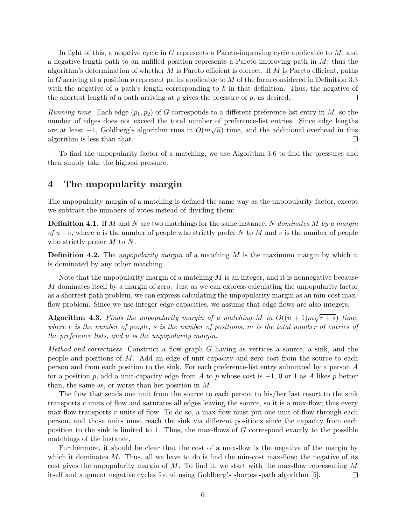In light of this, a negative cycle in  $G$  represents a Pareto-improving cycle applicable to  $M$ , and a negative-length path to an unfilled position represents a Pareto-improving path in  $M$ ; thus the algorithm's determination of whether  $M$  is Pareto efficient is correct. If  $M$  is Pareto efficient, paths in G arriving at a position p represent paths applicable to M of the form considered in Definition 3.3 with the negative of a path's length corresponding to  $k$  in that definition. Thus, the negative of the shortest length of a path arriving at  $p$  gives the pressure of  $p$ , as desired.  $\Box$ 

Running time. Each edge  $(p_1, p_2)$  of G corresponds to a different preference-list entry in M, so the number of edges does not exceed the total number of preference-list entries. Since edge lengths are at least  $-1$ , Goldberg's algorithm runs in  $O(m\sqrt{n})$  time, and the additional overhead in this algorithm is less than that.  $\Box$ 

To find the unpopularity factor of a matching, we use Algorithm 3.6 to find the pressures and then simply take the highest pressure.

## 4 The unpopularity margin

The unpopularity margin of a matching is defined the same way as the unpopularity factor, except we subtract the numbers of votes instead of dividing them:

**Definition 4.1.** If M and N are two matchings for the same instance, N dominates M by a margin of  $u-v$ , where u is the number of people who strictly prefer N to M and v is the number of people who strictly prefer M to N.

**Definition 4.2.** The *unpopularity margin* of a matching  $M$  is the maximum margin by which it is dominated by any other matching.

Note that the unpopularity margin of a matching  $M$  is an integer, and it is nonnegative because M dominates itself by a margin of zero. Just as we can express calculating the unpopularity factor as a shortest-path problem, we can express calculating the unpopularity margin as an min-cost maxflow problem. Since we use integer edge capacities, we assume that edge flows are also integers.

**Algorithm 4.3.** Finds the unpopularity margin of a matching M in  $O((u + 1)m)$ √  $\overline{r+s}$ ) time, where  $r$  is the number of people,  $s$  is the number of positions,  $m$  is the total number of entries of the preference lists, and u is the unpopularity margin.

Method and correctness. Construct a flow graph G having as vertices a source, a sink, and the people and positions of M. Add an edge of unit capacity and zero cost from the source to each person and from each position to the sink. For each preference-list entry submitted by a person A for a position p, add a unit-capacity edge from A to p whose cost is  $-1$ , 0 or 1 as A likes p better than, the same as, or worse than her position in M.

The flow that sends one unit from the source to each person to his/her last resort to the sink transports  $r$  units of flow and saturates all edges leaving the source, so it is a max-flow; thus every max-flow transports r units of flow. To do so, a max-flow must put one unit of flow through each person, and those units must reach the sink via different positions since the capacity from each position to the sink is limited to 1. Thus, the max-flows of G correspond exactly to the possible matchings of the instance.

Furthermore, it should be clear that the cost of a max-flow is the negative of the margin by which it dominates  $M$ . Thus, all we have to do is find the min-cost max-flow; the negative of its cost gives the unpopularity margin of  $M$ . To find it, we start with the max-flow representing  $M$ itself and augment negative cycles found using Goldberg's shortest-path algorithm [5].  $\Box$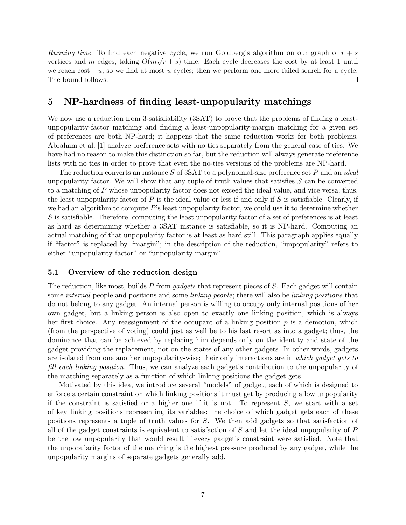Running time. To find each negative cycle, we run Goldberg's algorithm on our graph of  $r + s$ vertices and m edges, taking  $O(m\sqrt{r+s})$  time. Each cycle decreases the cost by at least 1 until we reach cost  $-u$ , so we find at most u cycles; then we perform one more failed search for a cycle. The bound follows.  $\Box$ 

## 5 NP-hardness of finding least-unpopularity matchings

We now use a reduction from 3-satisfiability (3SAT) to prove that the problems of finding a leastunpopularity-factor matching and finding a least-unpopularity-margin matching for a given set of preferences are both NP-hard; it happens that the same reduction works for both problems. Abraham et al. [1] analyze preference sets with no ties separately from the general case of ties. We have had no reason to make this distinction so far, but the reduction will always generate preference lists with no ties in order to prove that even the no-ties versions of the problems are NP-hard.

The reduction converts an instance  $S$  of 3SAT to a polynomial-size preference set  $P$  and an *ideal* unpopularity factor. We will show that any tuple of truth values that satisfies  $S$  can be converted to a matching of  $P$  whose unpopularity factor does not exceed the ideal value, and vice versa; thus, the least unpopularity factor of  $P$  is the ideal value or less if and only if  $S$  is satisfiable. Clearly, if we had an algorithm to compute  $P$ 's least unpopularity factor, we could use it to determine whether S is satisfiable. Therefore, computing the least unpopularity factor of a set of preferences is at least as hard as determining whether a 3SAT instance is satisfiable, so it is NP-hard. Computing an actual matching of that unpopularity factor is at least as hard still. This paragraph applies equally if "factor" is replaced by "margin"; in the description of the reduction, "unpopularity" refers to either "unpopularity factor" or "unpopularity margin".

### 5.1 Overview of the reduction design

The reduction, like most, builds  $P$  from gadgets that represent pieces of  $S$ . Each gadget will contain some *internal* people and positions and some *linking people*; there will also be *linking positions* that do not belong to any gadget. An internal person is willing to occupy only internal positions of her own gadget, but a linking person is also open to exactly one linking position, which is always her first choice. Any reassignment of the occupant of a linking position  $p$  is a demotion, which (from the perspective of voting) could just as well be to his last resort as into a gadget; thus, the dominance that can be achieved by replacing him depends only on the identity and state of the gadget providing the replacement, not on the states of any other gadgets. In other words, gadgets are isolated from one another unpopularity-wise; their only interactions are in which gadget gets to fill each linking position. Thus, we can analyze each gadget's contribution to the unpopularity of the matching separately as a function of which linking positions the gadget gets.

Motivated by this idea, we introduce several "models" of gadget, each of which is designed to enforce a certain constraint on which linking positions it must get by producing a low unpopularity if the constraint is satisfied or a higher one if it is not. To represent  $S$ , we start with a set of key linking positions representing its variables; the choice of which gadget gets each of these positions represents a tuple of truth values for S. We then add gadgets so that satisfaction of all of the gadget constraints is equivalent to satisfaction of S and let the ideal unpopularity of P be the low unpopularity that would result if every gadget's constraint were satisfied. Note that the unpopularity factor of the matching is the highest pressure produced by any gadget, while the unpopularity margins of separate gadgets generally add.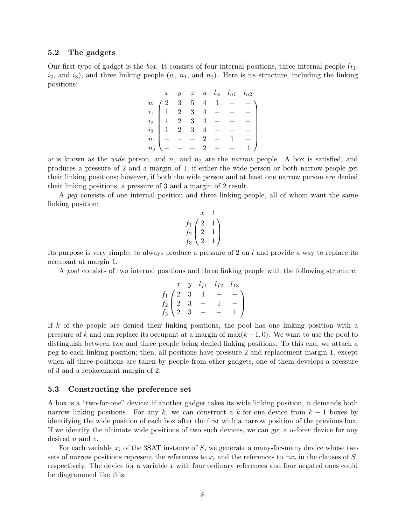## 5.2 The gadgets

Our first type of gadget is the box. It consists of four internal positions, three internal people  $(i_1, j_2)$  $i_2$ , and  $i_3$ ), and three linking people  $(w, n_1,$  and  $n_2)$ . Here is its structure, including the linking positions:

$$
\begin{array}{ccccccccc}\nx & y & z & u & l_w & l_{n1} & l_{n2} \\
w & 2 & 3 & 5 & 4 & 1 & - & - \\
i_1 & 1 & 2 & 3 & 4 & - & - & - \\
i_2 & 1 & 2 & 3 & 4 & - & - & - \\
i_3 & 1 & 2 & 3 & 4 & - & - & - \\
n_1 & - & - & 2 & - & 1 & - \\
n_2 & - & - & - & 2 & - & - & 1\n\end{array}
$$

w is known as the wide person, and  $n_1$  and  $n_2$  are the narrow people. A box is satisfied, and produces a pressure of 2 and a margin of 1, if either the wide person or both narrow people get their linking positions; however, if both the wide person and at least one narrow person are denied their linking positions, a pressure of 3 and a margin of 2 result.

A peg consists of one internal position and three linking people, all of whom want the same linking position:

$$
\begin{array}{cc}\n & x & l \\
f_1 & 2 & 1 \\
f_2 & 2 & 1 \\
f_3 & 2 & 1\n\end{array}
$$

Its purpose is very simple: to always produce a pressure of 2 on l and provide a way to replace its occupant at margin 1.

A pool consists of two internal positions and three linking people with the following structure:

$$
\begin{array}{cccccc}\nx & y & l_{f1} & l_{f2} & l_{f3} \\
f_1 & 2 & 3 & 1 & - & - \\
f_2 & 2 & 3 & - & 1 & - \\
f_3 & 2 & 3 & - & - & 1\n\end{array}
$$

If k of the people are denied their linking positions, the pool has one linking position with a pressure of k and can replace its occupant at a margin of max $(k-1, 0)$ . We want to use the pool to distinguish between two and three people being denied linking positions. To this end, we attach a peg to each linking position; then, all positions have pressure 2 and replacement margin 1, except when all three positions are taken by people from other gadgets, one of them develops a pressure of 3 and a replacement margin of 2.

#### 5.3 Constructing the preference set

A box is a "two-for-one" device: if another gadget takes its wide linking position, it demands both narrow linking positions. For any k, we can construct a k-for-one device from  $k-1$  boxes by identifying the wide position of each box after the first with a narrow position of the previous box. If we identify the ultimate wide positions of two such devices, we can get a  $u$ -for- $v$  device for any desired  $u$  and  $v$ .

For each variable  $x_i$  of the 3SAT instance of S, we generate a many-for-many device whose two sets of narrow positions represent the references to  $x_i$  and the references to  $\neg x_i$  in the clauses of S, respectively. The device for a variable  $x$  with four ordinary references and four negated ones could be diagrammed like this: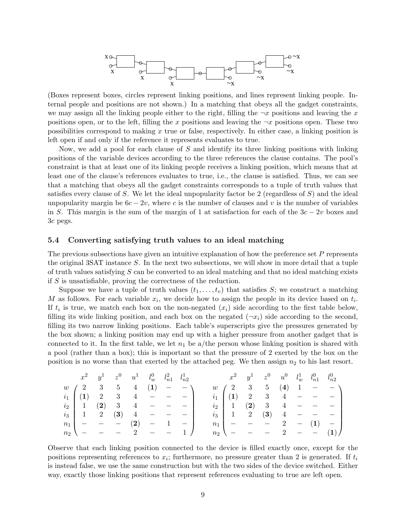

(Boxes represent boxes, circles represent linking positions, and lines represent linking people. Internal people and positions are not shown.) In a matching that obeys all the gadget constraints, we may assign all the linking people either to the right, filling the  $\neg x$  positions and leaving the x positions open, or to the left, filling the x positions and leaving the  $\neg x$  positions open. These two possibilities correspond to making x true or false, respectively. In either case, a linking position is left open if and only if the reference it represents evaluates to true.

Now, we add a pool for each clause of  $S$  and identify its three linking positions with linking positions of the variable devices according to the three references the clause contains. The pool's constraint is that at least one of its linking people receives a linking position, which means that at least one of the clause's references evaluates to true, i.e., the clause is satisfied. Thus, we can see that a matching that obeys all the gadget constraints corresponds to a tuple of truth values that satisfies every clause of S. We let the ideal unpopularity factor be 2 (regardless of  $S$ ) and the ideal unpopularity margin be  $6c - 2v$ , where c is the number of clauses and v is the number of variables in S. This margin is the sum of the margin of 1 at satisfaction for each of the  $3c - 2v$  boxes and 3c pegs.

## 5.4 Converting satisfying truth values to an ideal matching

The previous subsections have given an intuitive explanation of how the preference set P represents the original 3SAT instance  $S$ . In the next two subsections, we will show in more detail that a tuple of truth values satisfying S can be converted to an ideal matching and that no ideal matching exists if S is unsatisfiable, proving the correctness of the reduction.

Suppose we have a tuple of truth values  $(t_1, \ldots, t_v)$  that satisfies S; we construct a matching M as follows. For each variable  $x_i$ , we decide how to assign the people in its device based on  $t_i$ . If  $t_i$  is true, we match each box on the non-negated  $(x_i)$  side according to the first table below, filling its wide linking position, and each box on the negated  $(\neg x_i)$  side according to the second, filling its two narrow linking positions. Each table's superscripts give the pressures generated by the box shown; a linking position may end up with a higher pressure from another gadget that is connected to it. In the first table, we let  $n_1$  be a/the person whose linking position is shared with a pool (rather than a box); this is important so that the pressure of 2 exerted by the box on the position is no worse than that exerted by the attached peg. We then assign  $n_2$  to his last resort.

 x <sup>2</sup> y 1 z <sup>0</sup> u 1 l 0 <sup>w</sup> l 2 n1 l 1 n2 w 2 3 5 4 (1) − − i<sup>1</sup> (1) 2 3 4 − − − i<sup>2</sup> 1 (2) 3 4 − − − i<sup>3</sup> 1 2 (3) 4 − − − n<sup>1</sup> − − − (2) − 1 − n<sup>2</sup> − − − 2 − − 1 x <sup>2</sup> y 1 z <sup>0</sup> u 0 l 1 <sup>w</sup> l 0 n1 l 0 n2 w 2 3 5 (4) 1 − − i<sup>1</sup> (1) 2 3 4 − − − i<sup>2</sup> 1 (2) 3 4 − − − i<sup>3</sup> 1 2 (3) 4 − − − n<sup>1</sup> − − − 2 − (1) − n<sup>2</sup> − − − 2 − − (1) 

Observe that each linking position connected to the device is filled exactly once, except for the positions representing references to  $x_i$ ; furthermore, no pressure greater than 2 is generated. If  $t_i$ is instead false, we use the same construction but with the two sides of the device switched. Either way, exactly those linking positions that represent references evaluating to true are left open.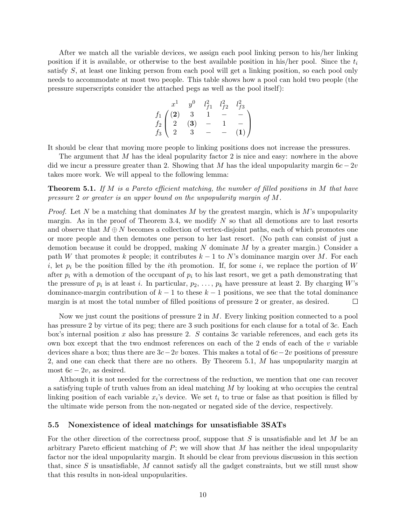After we match all the variable devices, we assign each pool linking person to his/her linking position if it is available, or otherwise to the best available position in his/her pool. Since the  $t_i$ satisfy S, at least one linking person from each pool will get a linking position, so each pool only needs to accommodate at most two people. This table shows how a pool can hold two people (the pressure superscripts consider the attached pegs as well as the pool itself):

$$
\begin{array}{ccccc}\nx^1 & y^0 & l_{f1}^2 & l_{f2}^2 & l_{f3}^2 \\
f_1 & (2) & 3 & 1 & - & - \\
f_2 & (2) & (3) & - & 1 & - \\
f_3 & 2 & 3 & - & - & (1)\n\end{array}
$$

It should be clear that moving more people to linking positions does not increase the pressures.

The argument that M has the ideal popularity factor 2 is nice and easy: nowhere in the above did we incur a pressure greater than 2. Showing that M has the ideal unpopularity margin  $6c - 2v$ takes more work. We will appeal to the following lemma:

**Theorem 5.1.** If M is a Pareto efficient matching, the number of filled positions in M that have pressure 2 or greater is an upper bound on the unpopularity margin of M.

*Proof.* Let N be a matching that dominates M by the greatest margin, which is M's unpopularity margin. As in the proof of Theorem 3.4, we modify  $N$  so that all demotions are to last resorts and observe that  $M \oplus N$  becomes a collection of vertex-disjoint paths, each of which promotes one or more people and then demotes one person to her last resort. (No path can consist of just a demotion because it could be dropped, making N dominate M by a greater margin.) Consider a path W that promotes k people; it contributes  $k-1$  to N's dominance margin over M. For each i, let  $p_i$  be the position filled by the ith promotion. If, for some i, we replace the portion of W after  $p_i$  with a demotion of the occupant of  $p_i$  to his last resort, we get a path demonstrating that the pressure of  $p_i$  is at least i. In particular,  $p_2, \ldots, p_k$  have pressure at least 2. By charging W's dominance-margin contribution of  $k-1$  to these  $k-1$  positions, we see that the total dominance margin is at most the total number of filled positions of pressure 2 or greater, as desired.  $\Box$ 

Now we just count the positions of pressure 2 in M. Every linking position connected to a pool has pressure 2 by virtue of its peg; there are 3 such positions for each clause for a total of 3c. Each box's internal position  $x$  also has pressure 2.  $S$  contains  $3c$  variable references, and each gets its own box except that the two endmost references on each of the 2 ends of each of the  $v$  variable devices share a box; thus there are  $3c-2v$  boxes. This makes a total of  $6c-2v$  positions of pressure 2, and one can check that there are no others. By Theorem 5.1, M has unpopularity margin at most  $6c - 2v$ , as desired.

Although it is not needed for the correctness of the reduction, we mention that one can recover a satisfying tuple of truth values from an ideal matching M by looking at who occupies the central linking position of each variable  $x_i$ 's device. We set  $t_i$  to true or false as that position is filled by the ultimate wide person from the non-negated or negated side of the device, respectively.

#### 5.5 Nonexistence of ideal matchings for unsatisfiable 3SATs

For the other direction of the correctness proof, suppose that  $S$  is unsatisfiable and let  $M$  be an arbitrary Pareto efficient matching of  $P$ ; we will show that  $M$  has neither the ideal unpopularity factor nor the ideal unpopularity margin. It should be clear from previous discussion in this section that, since  $S$  is unsatisfiable,  $M$  cannot satisfy all the gadget constraints, but we still must show that this results in non-ideal unpopularities.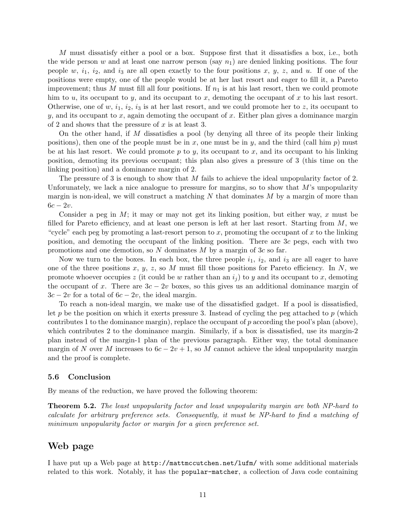M must dissatisfy either a pool or a box. Suppose first that it dissatisfies a box, i.e., both the wide person w and at least one narrow person (say  $n_1$ ) are denied linking positions. The four people w,  $i_1$ ,  $i_2$ , and  $i_3$  are all open exactly to the four positions x, y, z, and u. If one of the positions were empty, one of the people would be at her last resort and eager to fill it, a Pareto improvement; thus M must fill all four positions. If  $n_1$  is at his last resort, then we could promote him to  $u$ , its occupant to  $y$ , and its occupant to  $x$ , demoting the occupant of  $x$  to his last resort. Otherwise, one of w,  $i_1$ ,  $i_2$ ,  $i_3$  is at her last resort, and we could promote her to z, its occupant to y, and its occupant to x, again demoting the occupant of x. Either plan gives a dominance margin of 2 and shows that the pressure of  $x$  is at least 3.

On the other hand, if M dissatisfies a pool (by denying all three of its people their linking positions), then one of the people must be in x, one must be in y, and the third (call him  $p$ ) must be at his last resort. We could promote p to y, its occupant to x, and its occupant to his linking position, demoting its previous occupant; this plan also gives a pressure of 3 (this time on the linking position) and a dominance margin of 2.

The pressure of 3 is enough to show that M fails to achieve the ideal unpopularity factor of 2. Unforunately, we lack a nice analogue to pressure for margins, so to show that  $M$ 's unpopularity margin is non-ideal, we will construct a matching  $N$  that dominates  $M$  by a margin of more than  $6c - 2v.$ 

Consider a peg in  $M$ ; it may or may not get its linking position, but either way, x must be filled for Pareto efficiency, and at least one person is left at her last resort. Starting from  $M$ , we "cycle" each peg by promoting a last-resort person to x, promoting the occupant of x to the linking position, and demoting the occupant of the linking position. There are 3c pegs, each with two promotions and one demotion, so  $N$  dominates  $M$  by a margin of  $3c$  so far.

Now we turn to the boxes. In each box, the three people  $i_1$ ,  $i_2$ , and  $i_3$  are all eager to have one of the three positions x, y, z, so M must fill those positions for Pareto efficiency. In N, we promote whoever occupies z (it could be w rather than an  $i_j$ ) to y and its occupant to x, demoting the occupant of x. There are  $3c - 2v$  boxes, so this gives us an additional dominance margin of  $3c - 2v$  for a total of  $6c - 2v$ , the ideal margin.

To reach a non-ideal margin, we make use of the dissatisfied gadget. If a pool is dissatisfied, let p be the position on which it exerts pressure 3. Instead of cycling the peg attached to  $p$  (which contributes 1 to the dominance margin), replace the occupant of  $p$  according the pool's plan (above), which contributes 2 to the dominance margin. Similarly, if a box is dissatisfied, use its margin-2 plan instead of the margin-1 plan of the previous paragraph. Either way, the total dominance margin of N over M increases to  $6c - 2v + 1$ , so M cannot achieve the ideal unpopularity margin and the proof is complete.

#### 5.6 Conclusion

By means of the reduction, we have proved the following theorem:

Theorem 5.2. The least unpopularity factor and least unpopularity margin are both NP-hard to calculate for arbitrary preference sets. Consequently, it must be NP-hard to find a matching of minimum unpopularity factor or margin for a given preference set.

## Web page

I have put up a Web page at http://mattmccutchen.net/lufm/ with some additional materials related to this work. Notably, it has the popular-matcher, a collection of Java code containing